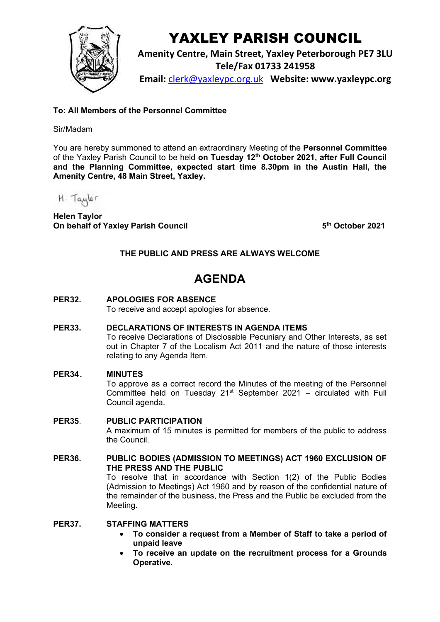

# YAXLEY PARISH COUNCIL

**Amenity Centre, Main Street, Yaxley Peterborough PE7 3LU Tele/Fax 01733 241958**

**Email:** [clerk@yaxleypc.org.uk](mailto:clerk@yaxleypc.org.uk) **Website: www.yaxleypc.org**

# **To: All Members of the Personnel Committee**

#### Sir/Madam

You are hereby summoned to attend an extraordinary Meeting of the **Personnel Committee** of the Yaxley Parish Council to be held **on Tuesday 12th October 2021, after Full Council and the Planning Committee, expected start time 8.30pm in the Austin Hall, the Amenity Centre, 48 Main Street, Yaxley.** 

H. Taylor

**Helen Taylor On behalf of Yaxley Parish Council 5**

**th October 2021**

# **THE PUBLIC AND PRESS ARE ALWAYS WELCOME**

# **AGENDA**

**PER32. APOLOGIES FOR ABSENCE**

To receive and accept apologies for absence.

**PER33. DECLARATIONS OF INTERESTS IN AGENDA ITEMS**

To receive Declarations of Disclosable Pecuniary and Other Interests, as set out in Chapter 7 of the Localism Act 2011 and the nature of those interests relating to any Agenda Item.

#### **PER34. MINUTES**

To approve as a correct record the Minutes of the meeting of the Personnel Committee held on Tuesday  $21$ <sup>st</sup> September 2021 – circulated with Full Council agenda.

#### **PER35**. **PUBLIC PARTICIPATION**

A maximum of 15 minutes is permitted for members of the public to address the Council.

#### **PER36. PUBLIC BODIES (ADMISSION TO MEETINGS) ACT 1960 EXCLUSION OF THE PRESS AND THE PUBLIC**

To resolve that in accordance with Section 1(2) of the Public Bodies (Admission to Meetings) Act 1960 and by reason of the confidential nature of the remainder of the business, the Press and the Public be excluded from the Meeting.

### **PER37. STAFFING MATTERS**

- **To consider a request from a Member of Staff to take a period of unpaid leave**
- **To receive an update on the recruitment process for a Grounds Operative.**